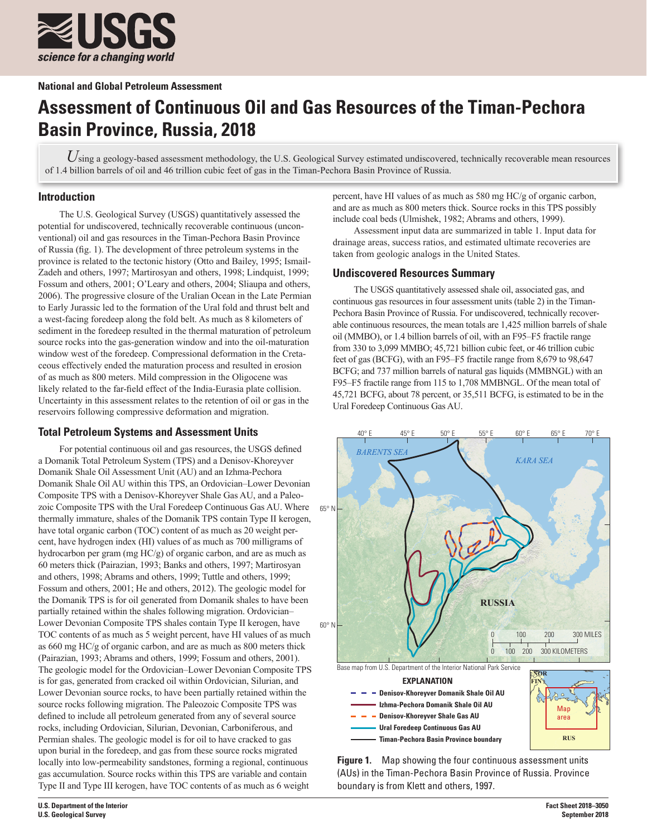

**National and Global Petroleum Assessment**

# **Assessment of Continuous Oil and Gas Resources of the Timan-Pechora Basin Province, Russia, 2018**

Using a geology-based assessment methodology, the U.S. Geological Survey estimated undiscovered, technically recoverable mean resources of 1.4 billion barrels of oil and 46 trillion cubic feet of gas in the Timan-Pechora Basin Province of Russia.

## **Introduction**

The U.S. Geological Survey (USGS) quantitatively assessed the potential for undiscovered, technically recoverable continuous (unconventional) oil and gas resources in the Timan-Pechora Basin Province of Russia (fig. 1). The development of three petroleum systems in the province is related to the tectonic history (Otto and Bailey, 1995; Ismail-Zadeh and others, 1997; Martirosyan and others, 1998; Lindquist, 1999; Fossum and others, 2001; O'Leary and others, 2004; Sliaupa and others, 2006). The progressive closure of the Uralian Ocean in the Late Permian to Early Jurassic led to the formation of the Ural fold and thrust belt and a west-facing foredeep along the fold belt. As much as 8 kilometers of sediment in the foredeep resulted in the thermal maturation of petroleum source rocks into the gas-generation window and into the oil-maturation window west of the foredeep. Compressional deformation in the Cretaceous effectively ended the maturation process and resulted in erosion of as much as 800 meters. Mild compression in the Oligocene was likely related to the far-field effect of the India-Eurasia plate collision. Uncertainty in this assessment relates to the retention of oil or gas in the reservoirs following compressive deformation and migration.

## **Total Petroleum Systems and Assessment Units**

For potential continuous oil and gas resources, the USGS defined a Domanik Total Petroleum System (TPS) and a Denisov-Khoreyver Domanik Shale Oil Assessment Unit (AU) and an Izhma-Pechora Domanik Shale Oil AU within this TPS, an Ordovician–Lower Devonian Composite TPS with a Denisov-Khoreyver Shale Gas AU, and a Paleozoic Composite TPS with the Ural Foredeep Continuous Gas AU. Where thermally immature, shales of the Domanik TPS contain Type II kerogen, have total organic carbon (TOC) content of as much as 20 weight percent, have hydrogen index (HI) values of as much as 700 milligrams of hydrocarbon per gram (mg HC/g) of organic carbon, and are as much as 60 meters thick (Pairazian, 1993; Banks and others, 1997; Martirosyan and others, 1998; Abrams and others, 1999; Tuttle and others, 1999; Fossum and others, 2001; He and others, 2012). The geologic model for the Domanik TPS is for oil generated from Domanik shales to have been partially retained within the shales following migration. Ordovician– Lower Devonian Composite TPS shales contain Type II kerogen, have TOC contents of as much as 5 weight percent, have HI values of as much as 660 mg HC/g of organic carbon, and are as much as 800 meters thick (Pairazian, 1993; Abrams and others, 1999; Fossum and others, 2001). The geologic model for the Ordovician–Lower Devonian Composite TPS is for gas, generated from cracked oil within Ordovician, Silurian, and Lower Devonian source rocks, to have been partially retained within the source rocks following migration. The Paleozoic Composite TPS was defined to include all petroleum generated from any of several source rocks, including Ordovician, Silurian, Devonian, Carboniferous, and Permian shales. The geologic model is for oil to have cracked to gas upon burial in the foredeep, and gas from these source rocks migrated locally into low-permeability sandstones, forming a regional, continuous gas accumulation. Source rocks within this TPS are variable and contain Type II and Type III kerogen, have TOC contents of as much as 6 weight

percent, have HI values of as much as 580 mg HC/g of organic carbon, and are as much as 800 meters thick. Source rocks in this TPS possibly include coal beds (Ulmishek, 1982; Abrams and others, 1999).

Assessment input data are summarized in table 1. Input data for drainage areas, success ratios, and estimated ultimate recoveries are taken from geologic analogs in the United States.

## **Undiscovered Resources Summary**

The USGS quantitatively assessed shale oil, associated gas, and continuous gas resources in four assessment units (table 2) in the Timan-Pechora Basin Province of Russia. For undiscovered, technically recoverable continuous resources, the mean totals are 1,425 million barrels of shale oil (MMBO), or 1.4 billion barrels of oil, with an F95–F5 fractile range from 330 to 3,099 MMBO; 45,721 billion cubic feet, or 46 trillion cubic feet of gas (BCFG), with an F95–F5 fractile range from 8,679 to 98,647 BCFG; and 737 million barrels of natural gas liquids (MMBNGL) with an F95–F5 fractile range from 115 to 1,708 MMBNGL. Of the mean total of 45,721 BCFG, about 78 percent, or 35,511 BCFG, is estimated to be in the Ural Foredeep Continuous Gas AU.



**Figure 1.** Map showing the four continuous assessment units (AUs) in the Timan-Pechora Basin Province of Russia. Province boundary is from Klett and others, 1997.